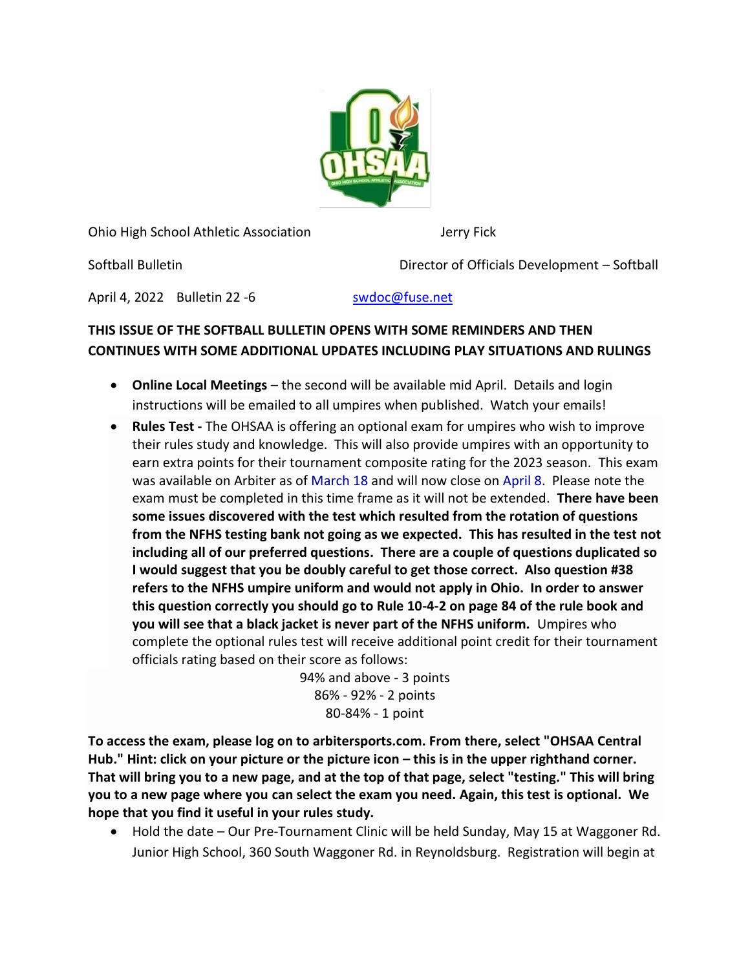

Ohio High School Athletic Association Jerry Fick

Softball Bulletin Director of Officials Development – Softball

April 4, 2022 Bulletin 22 -6 [swdoc@fuse.net](mailto:swdoc@fuse.net)

## **THIS ISSUE OF THE SOFTBALL BULLETIN OPENS WITH SOME REMINDERS AND THEN CONTINUES WITH SOME ADDITIONAL UPDATES INCLUDING PLAY SITUATIONS AND RULINGS**

- **Online Local Meetings** the second will be available mid April. Details and login instructions will be emailed to all umpires when published. Watch your emails!
- **Rules Test -** The OHSAA is offering an optional exam for umpires who wish to improve their rules study and knowledge. This will also provide umpires with an opportunity to earn extra points for their tournament composite rating for the 2023 season. This exam was available on Arbiter as of March 18 and will now close on April 8. Please note the exam must be completed in this time frame as it will not be extended. **There have been some issues discovered with the test which resulted from the rotation of questions from the NFHS testing bank not going as we expected. This has resulted in the test not including all of our preferred questions. There are a couple of questions duplicated so I would suggest that you be doubly careful to get those correct. Also question #38 refers to the NFHS umpire uniform and would not apply in Ohio. In order to answer this question correctly you should go to Rule 10-4-2 on page 84 of the rule book and you will see that a black jacket is never part of the NFHS uniform.** Umpires who complete the optional rules test will receive additional point credit for their tournament officials rating based on their score as follows:

94% and above - 3 points 86% - 92% - 2 points 80-84% - 1 point

**To access the exam, please log on to arbitersports.com. From there, select "OHSAA Central**  Hub." Hint: click on your picture or the picture icon – this is in the upper righthand corner. **That will bring you to a new page, and at the top of that page, select "testing." This will bring you to a new page where you can select the exam you need. Again, this test is optional. We hope that you find it useful in your rules study.**

• Hold the date – Our Pre-Tournament Clinic will be held Sunday, May 15 at Waggoner Rd. Junior High School, 360 South Waggoner Rd. in Reynoldsburg. Registration will begin at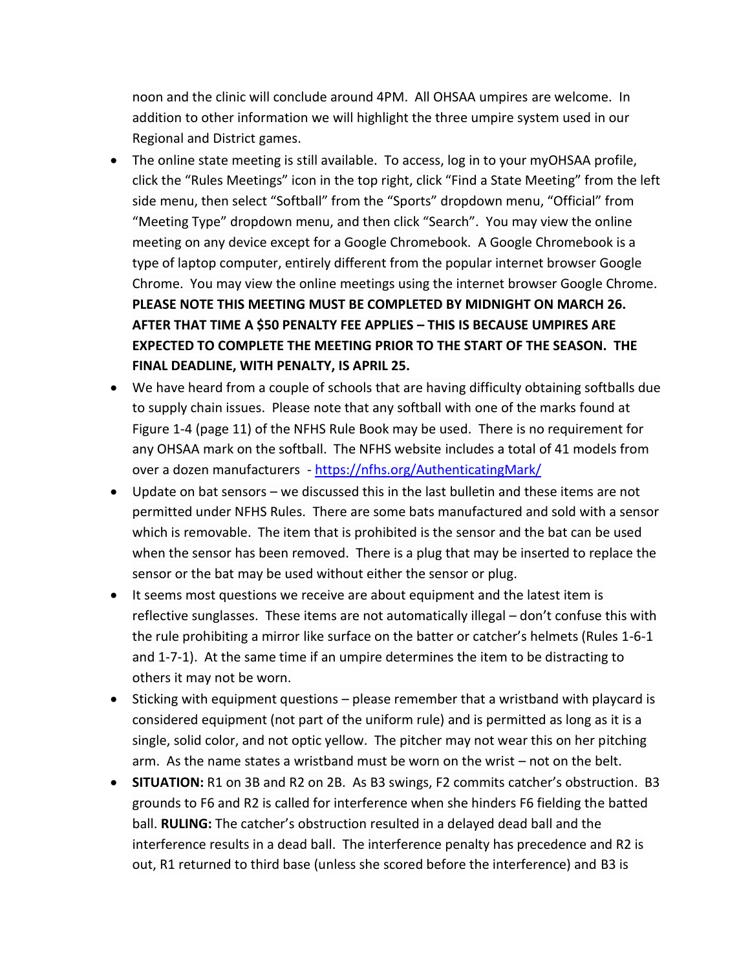noon and the clinic will conclude around 4PM. All OHSAA umpires are welcome. In addition to other information we will highlight the three umpire system used in our Regional and District games.

- The online state meeting is still available. To access, log in to your myOHSAA profile, click the "Rules Meetings" icon in the top right, click "Find a State Meeting" from the left side menu, then select "Softball" from the "Sports" dropdown menu, "Official" from "Meeting Type" dropdown menu, and then click "Search". You may view the online meeting on any device except for a Google Chromebook. A Google Chromebook is a type of laptop computer, entirely different from the popular internet browser Google Chrome. You may view the online meetings using the internet browser Google Chrome. **PLEASE NOTE THIS MEETING MUST BE COMPLETED BY MIDNIGHT ON MARCH 26. AFTER THAT TIME A \$50 PENALTY FEE APPLIES – THIS IS BECAUSE UMPIRES ARE EXPECTED TO COMPLETE THE MEETING PRIOR TO THE START OF THE SEASON. THE FINAL DEADLINE, WITH PENALTY, IS APRIL 25.**
- We have heard from a couple of schools that are having difficulty obtaining softballs due to supply chain issues. Please note that any softball with one of the marks found at Figure 1-4 (page 11) of the NFHS Rule Book may be used. There is no requirement for any OHSAA mark on the softball. The NFHS website includes a total of 41 models from over a dozen manufacturers - <https://nfhs.org/AuthenticatingMark/>
- Update on bat sensors we discussed this in the last bulletin and these items are not permitted under NFHS Rules. There are some bats manufactured and sold with a sensor which is removable. The item that is prohibited is the sensor and the bat can be used when the sensor has been removed. There is a plug that may be inserted to replace the sensor or the bat may be used without either the sensor or plug.
- It seems most questions we receive are about equipment and the latest item is reflective sunglasses. These items are not automatically illegal – don't confuse this with the rule prohibiting a mirror like surface on the batter or catcher's helmets (Rules 1-6-1 and 1-7-1). At the same time if an umpire determines the item to be distracting to others it may not be worn.
- Sticking with equipment questions please remember that a wristband with playcard is considered equipment (not part of the uniform rule) and is permitted as long as it is a single, solid color, and not optic yellow. The pitcher may not wear this on her pitching arm. As the name states a wristband must be worn on the wrist – not on the belt.
- **SITUATION:** R1 on 3B and R2 on 2B. As B3 swings, F2 commits catcher's obstruction. B3 grounds to F6 and R2 is called for interference when she hinders F6 fielding the batted ball. **RULING:** The catcher's obstruction resulted in a delayed dead ball and the interference results in a dead ball. The interference penalty has precedence and R2 is out, R1 returned to third base (unless she scored before the interference) and B3 is